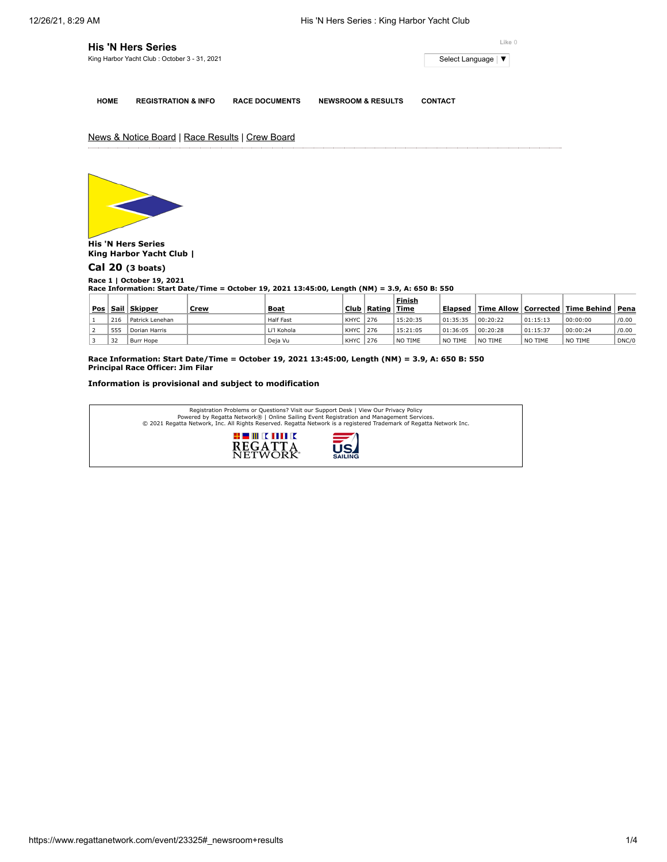|             | His 'N Hers Series                            | Like 0                |                               |                     |  |
|-------------|-----------------------------------------------|-----------------------|-------------------------------|---------------------|--|
|             | King Harbor Yacht Club : October 3 - 31, 2021 |                       |                               | Select Language   ▼ |  |
|             |                                               |                       |                               |                     |  |
| <b>HOME</b> | <b>REGISTRATION &amp; INFO</b>                | <b>RACE DOCUMENTS</b> | <b>NEWSROOM &amp; RESULTS</b> | <b>CONTACT</b>      |  |

News & Notice Board | Race Results | Crew Board



**His 'N Hers Series King Harbor Yacht Club |**

## **[Cal 20](https://www.regattanetwork.com/clubmgmt/applet_race_scores.php?regatta_id=23325&race_num=1&fleet=Cal+20&show_crew=1) (3 boats)**

**Race 1 | October 19, 2021 Race Information: Start Date/Time = October 19, 2021 13:45:00, Length (NM) = 3.9, A: 650 B: 550**

|     |     |                     |      |                  |             |        | Finish   |          |          |          |                                      |       |
|-----|-----|---------------------|------|------------------|-------------|--------|----------|----------|----------|----------|--------------------------------------|-------|
| Pos |     | <b>Sail Skipper</b> | Crew | <b>Boat</b>      | Club        | Rating | Time     | Elapsed  |          |          | Time Allow   Corrected   Time Behind | Pena  |
|     | 216 | l Patrick Lenehan   |      | <b>Half Fast</b> | <b>KHYC</b> | 276    | 15:20:35 | 01:35:35 | 00:20:22 | 01:15:13 | 00:00:00                             | /0.00 |
|     | 555 | Dorian Harris       |      | Li'l Kohola      | <b>KHYC</b> | 276    | 15:21:05 | 01:36:05 | 00:20:28 | 01:15:37 | 00:00:24                             | /0.00 |
|     | 32  | Burr Hope           |      | Deja Vu          | <b>KHYC</b> | 276    | NO TIME  | NO TIME  | NO TIME  | NO TIME  | NO TIME                              | DNC/0 |

**Race Information: Start Date/Time = October 19, 2021 13:45:00, Length (NM) = 3.9, A: 650 B: 550 Principal Race Officer: Jim Filar**

**Information is provisional and subject to modification**